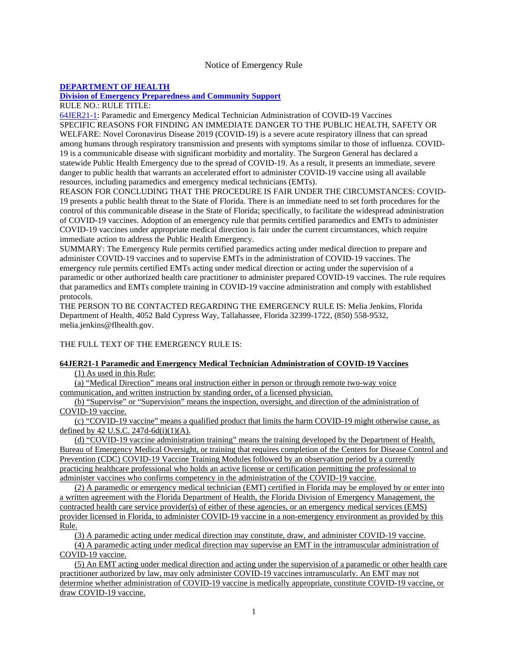#### Notice of Emergency Rule

## **DEPARTMENT OF HEALTH**

# **Division of Emergency Preparedness and Community Support**

### RULE NO.: RULE TITLE:

64JER21-1: Paramedic and Emergency Medical Technician Administration of COVID-19 Vaccines SPECIFIC REASONS FOR FINDING AN IMMEDIATE DANGER TO THE PUBLIC HEALTH, SAFETY OR WELFARE: Novel Coronavirus Disease 2019 (COVID-19) is a severe acute respiratory illness that can spread among humans through respiratory transmission and presents with symptoms similar to those of influenza. COVID-19 is a communicable disease with significant morbidity and mortality. The Surgeon General has declared a statewide Public Health Emergency due to the spread of COVID-19. As a result, it presents an immediate, severe danger to public health that warrants an accelerated effort to administer COVID-19 vaccine using all available resources, including paramedics and emergency medical technicians (EMTs).

REASON FOR CONCLUDING THAT THE PROCEDURE IS FAIR UNDER THE CIRCUMSTANCES: COVID-19 presents a public health threat to the State of Florida. There is an immediate need to set forth procedures for the control of this communicable disease in the State of Florida; specifically, to facilitate the widespread administration of COVID-19 vaccines. Adoption of an emergency rule that permits certified paramedics and EMTs to administer COVID-19 vaccines under appropriate medical direction is fair under the current circumstances, which require immediate action to address the Public Health Emergency.

SUMMARY: The Emergency Rule permits certified paramedics acting under medical direction to prepare and administer COVID-19 vaccines and to supervise EMTs in the administration of COVID-19 vaccines. The emergency rule permits certified EMTs acting under medical direction or acting under the supervision of a paramedic or other authorized health care practitioner to administer prepared COVID-19 vaccines. The rule requires that paramedics and EMTs complete training in COVID-19 vaccine administration and comply with established protocols.

THE PERSON TO BE CONTACTED REGARDING THE EMERGENCY RULE IS: Melia Jenkins, Florida Department of Health, 4052 Bald Cypress Way, Tallahassee, Florida 32399-1722, (850) 558-9532, melia.jenkins@flhealth.gov.

### THE FULL TEXT OF THE EMERGENCY RULE IS:

#### **64JER21-1 Paramedic and Emergency Medical Technician Administration of COVID-19 Vaccines**

(1) As used in this Rule:

(a) "Medical Direction" means oral instruction either in person or through remote two-way voice communication, and written instruction by standing order, of a licensed physician.

(b) "Supervise" or "Supervision" means the inspection, oversight, and direction of the administration of COVID-19 vaccine.

(c) "COVID-19 vaccine" means a qualified product that limits the harm COVID-19 might otherwise cause, as defined by 42 U.S.C. 247d-6d $(i)(1)(A)$ .

(d) "COVID-19 vaccine administration training" means the training developed by the Department of Health, Bureau of Emergency Medical Oversight, or training that requires completion of the Centers for Disease Control and Prevention (CDC) COVID-19 Vaccine Training Modules followed by an observation period by a currently practicing healthcare professional who holds an active license or certification permitting the professional to administer vaccines who confirms competency in the administration of the COVID-19 vaccine.

(2) A paramedic or emergency medical technician (EMT) certified in Florida may be employed by or enter into a written agreement with the Florida Department of Health, the Florida Division of Emergency Management, the contracted health care service provider(s) of either of these agencies, or an emergency medical services (EMS) provider licensed in Florida, to administer COVID-19 vaccine in a non-emergency environment as provided by this Rule.

(3) A paramedic acting under medical direction may constitute, draw, and administer COVID-19 vaccine.

(4) A paramedic acting under medical direction may supervise an EMT in the intramuscular administration of COVID-19 vaccine.

(5) An EMT acting under medical direction and acting under the supervision of a paramedic or other health care practitioner authorized by law, may only administer COVID-19 vaccines intramuscularly. An EMT may not determine whether administration of COVID-19 vaccine is medically appropriate, constitute COVID-19 vaccine, or draw COVID-19 vaccine.